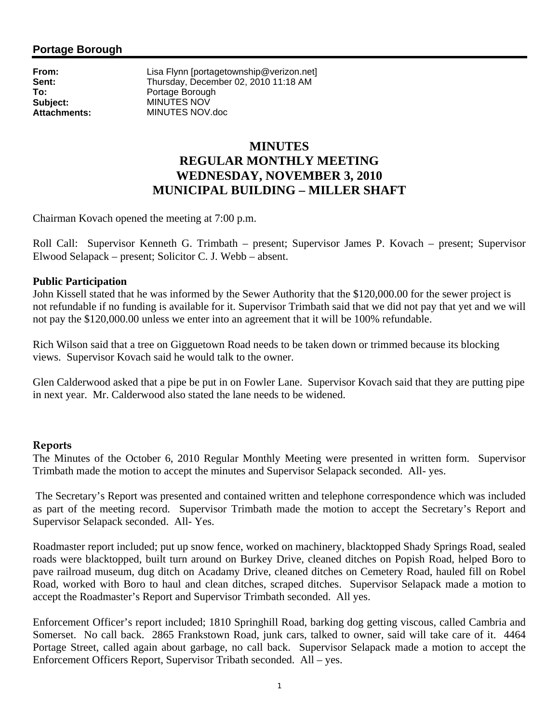# **Portage Borough**

**From:** Lisa Flynn [portagetownship@verizon.net]<br> **Sent:** Thursday. December 02. 2010 11:18 AM Sent:<br>
To:<br>
To:<br> **To:**<br>
Portage Borough<br>
Portage Borough **To:** Portage Borough **Subject:** MINUTES NOV **Attachments:** MINUTES NOV.doc

# **MINUTES REGULAR MONTHLY MEETING WEDNESDAY, NOVEMBER 3, 2010 MUNICIPAL BUILDING – MILLER SHAFT**

Chairman Kovach opened the meeting at 7:00 p.m.

Roll Call: Supervisor Kenneth G. Trimbath – present; Supervisor James P. Kovach – present; Supervisor Elwood Selapack – present; Solicitor C. J. Webb – absent.

### **Public Participation**

John Kissell stated that he was informed by the Sewer Authority that the \$120,000.00 for the sewer project is not refundable if no funding is available for it. Supervisor Trimbath said that we did not pay that yet and we will not pay the \$120,000.00 unless we enter into an agreement that it will be 100% refundable.

Rich Wilson said that a tree on Gigguetown Road needs to be taken down or trimmed because its blocking views. Supervisor Kovach said he would talk to the owner.

Glen Calderwood asked that a pipe be put in on Fowler Lane. Supervisor Kovach said that they are putting pipe in next year. Mr. Calderwood also stated the lane needs to be widened.

## **Reports**

The Minutes of the October 6, 2010 Regular Monthly Meeting were presented in written form. Supervisor Trimbath made the motion to accept the minutes and Supervisor Selapack seconded. All- yes.

 The Secretary's Report was presented and contained written and telephone correspondence which was included as part of the meeting record. Supervisor Trimbath made the motion to accept the Secretary's Report and Supervisor Selapack seconded. All- Yes.

Roadmaster report included; put up snow fence, worked on machinery, blacktopped Shady Springs Road, sealed roads were blacktopped, built turn around on Burkey Drive, cleaned ditches on Popish Road, helped Boro to pave railroad museum, dug ditch on Acadamy Drive, cleaned ditches on Cemetery Road, hauled fill on Robel Road, worked with Boro to haul and clean ditches, scraped ditches. Supervisor Selapack made a motion to accept the Roadmaster's Report and Supervisor Trimbath seconded. All yes.

Enforcement Officer's report included; 1810 Springhill Road, barking dog getting viscous, called Cambria and Somerset. No call back. 2865 Frankstown Road, junk cars, talked to owner, said will take care of it. 4464 Portage Street, called again about garbage, no call back. Supervisor Selapack made a motion to accept the Enforcement Officers Report, Supervisor Tribath seconded. All – yes.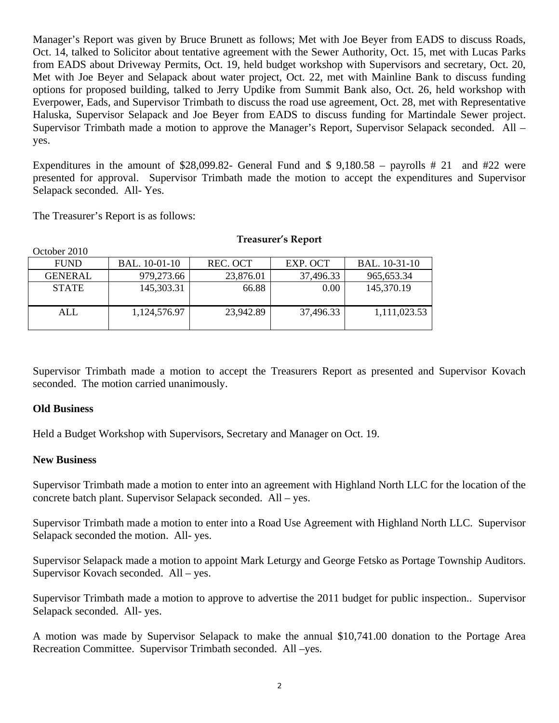Manager's Report was given by Bruce Brunett as follows; Met with Joe Beyer from EADS to discuss Roads, Oct. 14, talked to Solicitor about tentative agreement with the Sewer Authority, Oct. 15, met with Lucas Parks from EADS about Driveway Permits, Oct. 19, held budget workshop with Supervisors and secretary, Oct. 20, Met with Joe Beyer and Selapack about water project, Oct. 22, met with Mainline Bank to discuss funding options for proposed building, talked to Jerry Updike from Summit Bank also, Oct. 26, held workshop with Everpower, Eads, and Supervisor Trimbath to discuss the road use agreement, Oct. 28, met with Representative Haluska, Supervisor Selapack and Joe Beyer from EADS to discuss funding for Martindale Sewer project. Supervisor Trimbath made a motion to approve the Manager's Report, Supervisor Selapack seconded. All – yes.

Expenditures in the amount of \$28,099.82- General Fund and \$9,180.58 – payrolls #21 and #22 were presented for approval. Supervisor Trimbath made the motion to accept the expenditures and Supervisor Selapack seconded. All- Yes.

The Treasurer's Report is as follows:

| October 2010   |               |           |           |               |
|----------------|---------------|-----------|-----------|---------------|
| <b>FUND</b>    | BAL. 10-01-10 | REC. OCT  | EXP. OCT  | BAL. 10-31-10 |
| <b>GENERAL</b> | 979,273.66    | 23,876.01 | 37,496.33 | 965, 653. 34  |
| <b>STATE</b>   | 145,303.31    | 66.88     | 0.00      | 145,370.19    |
| ALL            | 1,124,576.97  | 23,942.89 | 37,496.33 | 1,111,023.53  |

#### **Treasurer's Report**

Supervisor Trimbath made a motion to accept the Treasurers Report as presented and Supervisor Kovach seconded. The motion carried unanimously.

## **Old Business**

Held a Budget Workshop with Supervisors, Secretary and Manager on Oct. 19.

#### **New Business**

Supervisor Trimbath made a motion to enter into an agreement with Highland North LLC for the location of the concrete batch plant. Supervisor Selapack seconded. All – yes.

Supervisor Trimbath made a motion to enter into a Road Use Agreement with Highland North LLC. Supervisor Selapack seconded the motion. All- yes.

Supervisor Selapack made a motion to appoint Mark Leturgy and George Fetsko as Portage Township Auditors. Supervisor Kovach seconded. All – yes.

Supervisor Trimbath made a motion to approve to advertise the 2011 budget for public inspection.. Supervisor Selapack seconded. All- yes.

A motion was made by Supervisor Selapack to make the annual \$10,741.00 donation to the Portage Area Recreation Committee. Supervisor Trimbath seconded. All –yes.